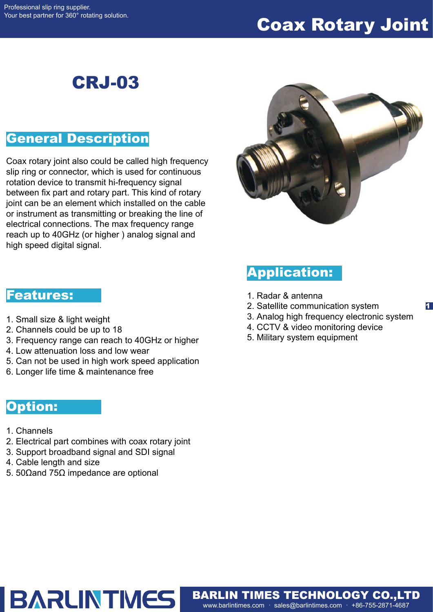# Coax Rotary Joint

# CRJ-03

### General Description

Coax rotary joint also could be called high frequency slip ring or connector, which is used for continuous rotation device to transmit hi-frequency signal between fix part and rotary part. This kind of rotary joint can be an element which installed on the cable or instrument as transmitting or breaking the line of electrical connections. The max frequency range reach up to 40GHz (or higher ) analog signal and high speed digital signal.



## Application:

- 1. Radar & antenna
- 2. Satellite communication system
- 3. Analog high frequency electronic system

1

- 4. CCTV & video monitoring device
- 5. Military system equipment

www.barlintimes.com · sales@barlintimes.com · +86-755-2871-4687 BARLIN TIMES TECHNOLOGY CO.,LTD

#### Features:

- 1. Small size & light weight
- 2. Channels could be up to 18
- 3. Frequency range can reach to 40GHz or higher
- 4. Low attenuation loss and low wear
- 5. Can not be used in high work speed application
- 6. Longer life time & maintenance free

#### Option:

- 1. Channels
- 2. Electrical part combines with coax rotary joint
- 3. Support broadband signal and SDI signal

**BARLINTMES** 

- 4. Cable length and size
- 5. 50Ωand 75Ω impedance are optional